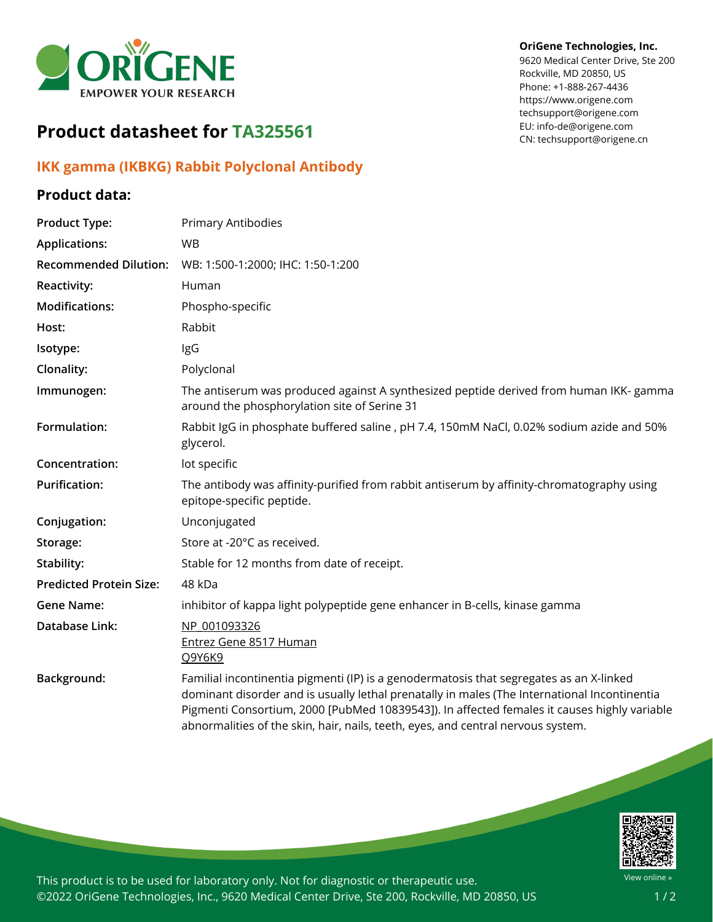

# **Product datasheet for TA325561**

## **IKK gamma (IKBKG) Rabbit Polyclonal Antibody**

### **Product data:**

#### **OriGene Technologies, Inc.**

9620 Medical Center Drive, Ste 200 Rockville, MD 20850, US Phone: +1-888-267-4436 https://www.origene.com techsupport@origene.com EU: info-de@origene.com CN: techsupport@origene.cn

| Primary Antibodies                                                                                                                                                                                                                                                                                                                                                         |
|----------------------------------------------------------------------------------------------------------------------------------------------------------------------------------------------------------------------------------------------------------------------------------------------------------------------------------------------------------------------------|
| <b>WB</b>                                                                                                                                                                                                                                                                                                                                                                  |
| WB: 1:500-1:2000; IHC: 1:50-1:200                                                                                                                                                                                                                                                                                                                                          |
| Human                                                                                                                                                                                                                                                                                                                                                                      |
| Phospho-specific                                                                                                                                                                                                                                                                                                                                                           |
| Rabbit                                                                                                                                                                                                                                                                                                                                                                     |
| IgG                                                                                                                                                                                                                                                                                                                                                                        |
| Polyclonal                                                                                                                                                                                                                                                                                                                                                                 |
| The antiserum was produced against A synthesized peptide derived from human IKK- gamma<br>around the phosphorylation site of Serine 31                                                                                                                                                                                                                                     |
| Rabbit IgG in phosphate buffered saline, pH 7.4, 150mM NaCl, 0.02% sodium azide and 50%<br>glycerol.                                                                                                                                                                                                                                                                       |
| lot specific                                                                                                                                                                                                                                                                                                                                                               |
| The antibody was affinity-purified from rabbit antiserum by affinity-chromatography using<br>epitope-specific peptide.                                                                                                                                                                                                                                                     |
| Unconjugated                                                                                                                                                                                                                                                                                                                                                               |
| Store at -20°C as received.                                                                                                                                                                                                                                                                                                                                                |
| Stable for 12 months from date of receipt.                                                                                                                                                                                                                                                                                                                                 |
| 48 kDa                                                                                                                                                                                                                                                                                                                                                                     |
| inhibitor of kappa light polypeptide gene enhancer in B-cells, kinase gamma                                                                                                                                                                                                                                                                                                |
| NP 001093326<br>Entrez Gene 8517 Human<br>Q9Y6K9                                                                                                                                                                                                                                                                                                                           |
| Familial incontinentia pigmenti (IP) is a genodermatosis that segregates as an X-linked<br>dominant disorder and is usually lethal prenatally in males (The International Incontinentia<br>Pigmenti Consortium, 2000 [PubMed 10839543]). In affected females it causes highly variable<br>abnormalities of the skin, hair, nails, teeth, eyes, and central nervous system. |
|                                                                                                                                                                                                                                                                                                                                                                            |



This product is to be used for laboratory only. Not for diagnostic or therapeutic use. ©2022 OriGene Technologies, Inc., 9620 Medical Center Drive, Ste 200, Rockville, MD 20850, US